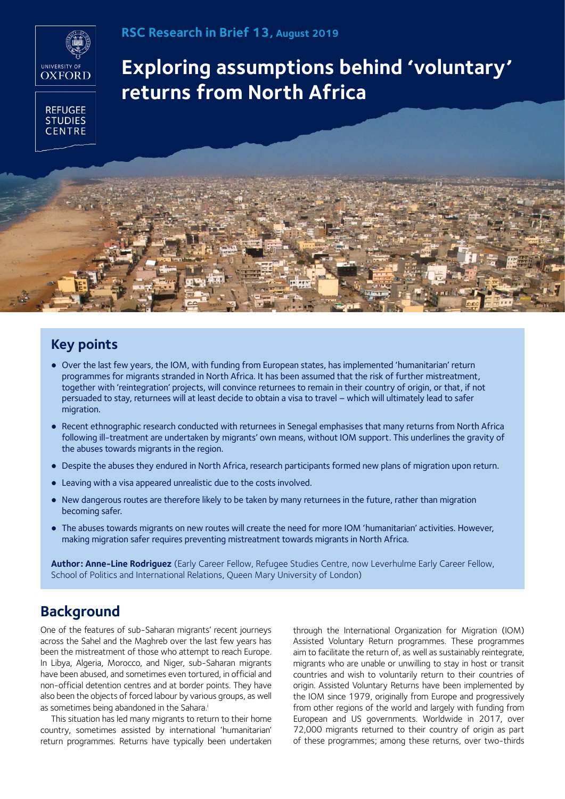

### **REFUGEE STUDIES CENTRE**

# **Exploring assumptions behind 'voluntary' returns from North Africa**

## **Key points**

- Over the last few years, the IOM, with funding from European states, has implemented 'humanitarian' return programmes for migrants stranded in North Africa. It has been assumed that the risk of further mistreatment, together with 'reintegration' projects, will convince returnees to remain in their country of origin, or that, if not persuaded to stay, returnees will at least decide to obtain a visa to travel − which will ultimately lead to safer migration.
- Recent ethnographic research conducted with returnees in Senegal emphasises that many returns from North Africa following ill-treatment are undertaken by migrants' own means, without IOM support. This underlines the gravity of the abuses towards migrants in the region.
- Despite the abuses they endured in North Africa, research participants formed new plans of migration upon return.
- Leaving with a visa appeared unrealistic due to the costs involved.
- New dangerous routes are therefore likely to be taken by many returnees in the future, rather than migration becoming safer.
- The abuses towards migrants on new routes will create the need for more IOM 'humanitarian' activities. However, making migration safer requires preventing mistreatment towards migrants in North Africa.

**Author: Anne-Line Rodriguez** (Early Career Fellow, Refugee Studies Centre, now Leverhulme Early Career Fellow, School of Politics and International Relations, Queen Mary University of London)

### **Background**

One of the features of sub-Saharan migrants' recent journeys across the Sahel and the Maghreb over the last few years has been the mistreatment of those who attempt to reach Europe. In Libya, Algeria, Morocco, and Niger, sub-Saharan migrants have been abused, and sometimes even tortured, in official and non-official detention centres and at border points. They have also been the objects of forced labour by various groups, as well as sometimes being abandoned in the Sahara.<sup>i</sup>

This situation has led many migrants to return to their home country, sometimes assisted by international 'humanitarian' return programmes. Returns have typically been undertaken

through the International Organization for Migration (IOM) Assisted Voluntary Return programmes. These programmes aim to facilitate the return of, as well as sustainably reintegrate, migrants who are unable or unwilling to stay in host or transit countries and wish to voluntarily return to their countries of origin. Assisted Voluntary Returns have been implemented by the IOM since 1979, originally from Europe and progressively from other regions of the world and largely with funding from European and US governments. Worldwide in 2017, over 72,000 migrants returned to their country of origin as part of these programmes; among these returns, over two-thirds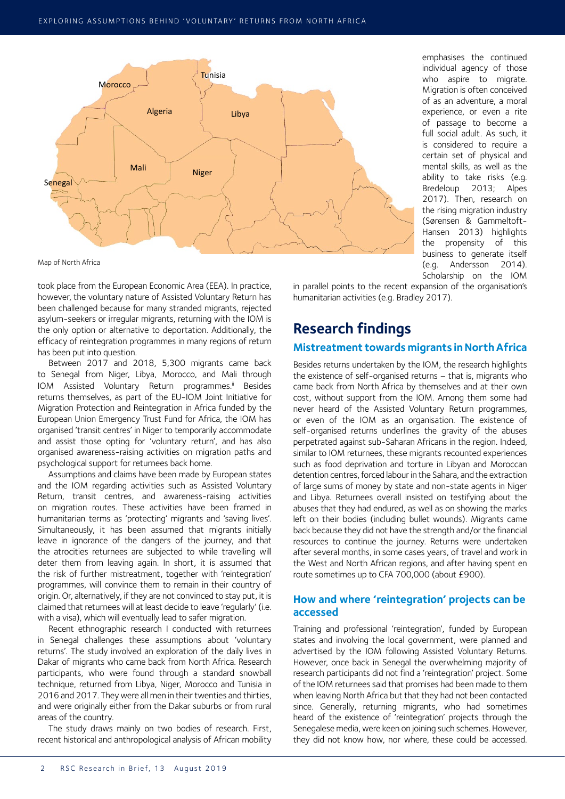

Map of North Africa

took place from the European Economic Area (EEA). In practice, however, the voluntary nature of Assisted Voluntary Return has been challenged because for many stranded migrants, rejected asylum-seekers or irregular migrants, returning with the IOM is the only option or alternative to deportation. Additionally, the efficacy of reintegration programmes in many regions of return has been put into question.

Between 2017 and 2018, 5,300 migrants came back to Senegal from Niger, Libya, Morocco, and Mali through IOM Assisted Voluntary Return programmes.<sup>ii</sup> Besides returns themselves, as part of the EU-IOM Joint Initiative for Migration Protection and Reintegration in Africa funded by the European Union Emergency Trust Fund for Africa, the IOM has organised 'transit centres' in Niger to temporarily accommodate and assist those opting for 'voluntary return', and has also organised awareness-raising activities on migration paths and psychological support for returnees back home.

Assumptions and claims have been made by European states and the IOM regarding activities such as Assisted Voluntary Return, transit centres, and awareness-raising activities on migration routes. These activities have been framed in humanitarian terms as 'protecting' migrants and 'saving lives'. Simultaneously, it has been assumed that migrants initially leave in ignorance of the dangers of the journey, and that the atrocities returnees are subjected to while travelling will deter them from leaving again. In short, it is assumed that the risk of further mistreatment, together with 'reintegration' programmes, will convince them to remain in their country of origin. Or, alternatively, if they are not convinced to stay put, it is claimed that returnees will at least decide to leave 'regularly' (i.e. with a visa), which will eventually lead to safer migration.

Recent ethnographic research I conducted with returnees in Senegal challenges these assumptions about 'voluntary returns'. The study involved an exploration of the daily lives in Dakar of migrants who came back from North Africa. Research participants, who were found through a standard snowball technique, returned from Libya, Niger, Morocco and Tunisia in 2016 and 2017. They were all men in their twenties and thirties, and were originally either from the Dakar suburbs or from rural areas of the country.

The study draws mainly on two bodies of research. First, recent historical and anthropological analysis of African mobility

emphasises the continued individual agency of those who aspire to migrate. Migration is often conceived of as an adventure, a moral experience, or even a rite of passage to become a full social adult. As such, it is considered to require a certain set of physical and mental skills, as well as the ability to take risks (e.g. Bredeloup 2013; Alpes 2017). Then, research on the rising migration industry (Sørensen & Gammeltoft-Hansen 2013) highlights the propensity of this business to generate itself (e.g. Andersson 2014). Scholarship on the IOM

in parallel points to the recent expansion of the organisation's humanitarian activities (e.g. Bradley 2017).

# **Research findings**

### **Mistreatment towards migrants in North Africa**

Besides returns undertaken by the IOM, the research highlights the existence of self-organised returns − that is, migrants who came back from North Africa by themselves and at their own cost, without support from the IOM. Among them some had never heard of the Assisted Voluntary Return programmes, or even of the IOM as an organisation. The existence of self-organised returns underlines the gravity of the abuses perpetrated against sub-Saharan Africans in the region. Indeed, similar to IOM returnees, these migrants recounted experiences such as food deprivation and torture in Libyan and Moroccan detention centres, forced labour in the Sahara, and the extraction of large sums of money by state and non-state agents in Niger and Libya. Returnees overall insisted on testifying about the abuses that they had endured, as well as on showing the marks left on their bodies (including bullet wounds). Migrants came back because they did not have the strength and/or the financial resources to continue the journey. Returns were undertaken after several months, in some cases years, of travel and work in the West and North African regions, and after having spent en route sometimes up to CFA 700,000 (about £900).

#### **How and where 'reintegration' projects can be accessed**

Training and professional 'reintegration', funded by European states and involving the local government, were planned and advertised by the IOM following Assisted Voluntary Returns. However, once back in Senegal the overwhelming majority of research participants did not find a 'reintegration' project. Some of the IOM returnees said that promises had been made to them when leaving North Africa but that they had not been contacted since. Generally, returning migrants, who had sometimes heard of the existence of 'reintegration' projects through the Senegalese media, were keen on joining such schemes. However, they did not know how, nor where, these could be accessed.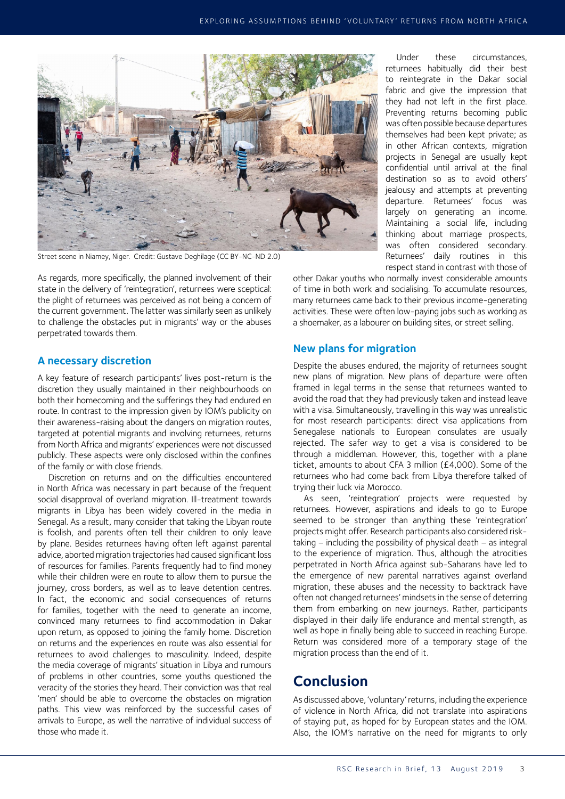

Street scene in Niamey, Niger. Credit: Gustave Deghilage (CC BY-NC-ND 2.0)

As regards, more specifically, the planned involvement of their state in the delivery of 'reintegration', returnees were sceptical: the plight of returnees was perceived as not being a concern of the current government. The latter was similarly seen as unlikely to challenge the obstacles put in migrants' way or the abuses perpetrated towards them.

#### **A necessary discretion**

A key feature of research participants' lives post-return is the discretion they usually maintained in their neighbourhoods on both their homecoming and the sufferings they had endured en route. In contrast to the impression given by IOM's publicity on their awareness-raising about the dangers on migration routes, targeted at potential migrants and involving returnees, returns from North Africa and migrants' experiences were not discussed publicly. These aspects were only disclosed within the confines of the family or with close friends.

Discretion on returns and on the difficulties encountered in North Africa was necessary in part because of the frequent social disapproval of overland migration. Ill-treatment towards migrants in Libya has been widely covered in the media in Senegal. As a result, many consider that taking the Libyan route is foolish, and parents often tell their children to only leave by plane. Besides returnees having often left against parental advice, aborted migration trajectories had caused significant loss of resources for families. Parents frequently had to find money while their children were en route to allow them to pursue the journey, cross borders, as well as to leave detention centres. In fact, the economic and social consequences of returns for families, together with the need to generate an income, convinced many returnees to find accommodation in Dakar upon return, as opposed to joining the family home. Discretion on returns and the experiences en route was also essential for returnees to avoid challenges to masculinity. Indeed, despite the media coverage of migrants' situation in Libya and rumours of problems in other countries, some youths questioned the veracity of the stories they heard. Their conviction was that real 'men' should be able to overcome the obstacles on migration paths. This view was reinforced by the successful cases of arrivals to Europe, as well the narrative of individual success of those who made it.

Under these circumstances, returnees habitually did their best to reintegrate in the Dakar social fabric and give the impression that they had not left in the first place. Preventing returns becoming public was often possible because departures themselves had been kept private; as in other African contexts, migration projects in Senegal are usually kept confidential until arrival at the final destination so as to avoid others' jealousy and attempts at preventing departure. Returnees' focus was largely on generating an income. Maintaining a social life, including thinking about marriage prospects, was often considered secondary. Returnees' daily routines in this respect stand in contrast with those of

other Dakar youths who normally invest considerable amounts of time in both work and socialising. To accumulate resources, many returnees came back to their previous income-generating activities. These were often low-paying jobs such as working as a shoemaker, as a labourer on building sites, or street selling.

#### **New plans for migration**

Despite the abuses endured, the majority of returnees sought new plans of migration. New plans of departure were often framed in legal terms in the sense that returnees wanted to avoid the road that they had previously taken and instead leave with a visa. Simultaneously, travelling in this way was unrealistic for most research participants: direct visa applications from Senegalese nationals to European consulates are usually rejected. The safer way to get a visa is considered to be through a middleman. However, this, together with a plane ticket, amounts to about CFA 3 million (£4,000). Some of the returnees who had come back from Libya therefore talked of trying their luck via Morocco.

As seen, 'reintegration' projects were requested by returnees. However, aspirations and ideals to go to Europe seemed to be stronger than anything these 'reintegration' projects might offer. Research participants also considered risktaking − including the possibility of physical death − as integral to the experience of migration. Thus, although the atrocities perpetrated in North Africa against sub-Saharans have led to the emergence of new parental narratives against overland migration, these abuses and the necessity to backtrack have often not changed returnees' mindsets in the sense of deterring them from embarking on new journeys. Rather, participants displayed in their daily life endurance and mental strength, as well as hope in finally being able to succeed in reaching Europe. Return was considered more of a temporary stage of the migration process than the end of it.

### **Conclusion**

As discussed above, 'voluntary' returns, including the experience of violence in North Africa, did not translate into aspirations of staying put, as hoped for by European states and the IOM. Also, the IOM's narrative on the need for migrants to only